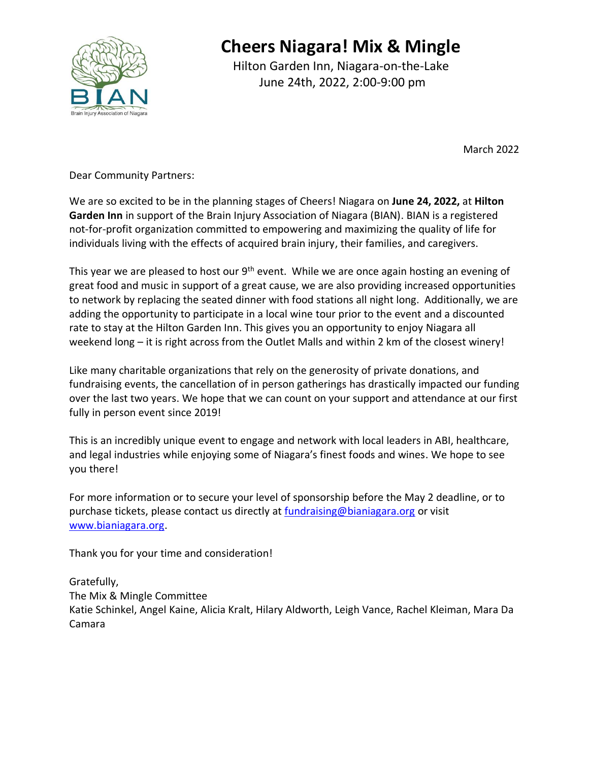

Hilton Garden Inn, Niagara-on-the-Lake June 24th, 2022, 2:00-9:00 pm

March 2022

Dear Community Partners:

We are so excited to be in the planning stages of Cheers! Niagara on **June 24, 2022,** at **Hilton Garden Inn** in support of the Brain Injury Association of Niagara (BIAN). BIAN is a registered not-for-profit organization committed to empowering and maximizing the quality of life for individuals living with the effects of acquired brain injury, their families, and caregivers.

This year we are pleased to host our  $9<sup>th</sup>$  event. While we are once again hosting an evening of great food and music in support of a great cause, we are also providing increased opportunities to network by replacing the seated dinner with food stations all night long. Additionally, we are adding the opportunity to participate in a local wine tour prior to the event and a discounted rate to stay at the Hilton Garden Inn. This gives you an opportunity to enjoy Niagara all weekend long – it is right across from the Outlet Malls and within 2 km of the closest winery!

Like many charitable organizations that rely on the generosity of private donations, and fundraising events, the cancellation of in person gatherings has drastically impacted our funding over the last two years. We hope that we can count on your support and attendance at our first fully in person event since 2019!

This is an incredibly unique event to engage and network with local leaders in ABI, healthcare, and legal industries while enjoying some of Niagara's finest foods and wines. We hope to see you there!

For more information or to secure your level of sponsorship before the May 2 deadline, or to purchase tickets, please contact us directly at [fundraising@bianiagara.org](mailto:fundraising@bianiagara.org) or visit [www.bianiagara.org.](http://www.bianiagara.org/)

Thank you for your time and consideration!

Gratefully,

The Mix & Mingle Committee

Katie Schinkel, Angel Kaine, Alicia Kralt, Hilary Aldworth, Leigh Vance, Rachel Kleiman, Mara Da Camara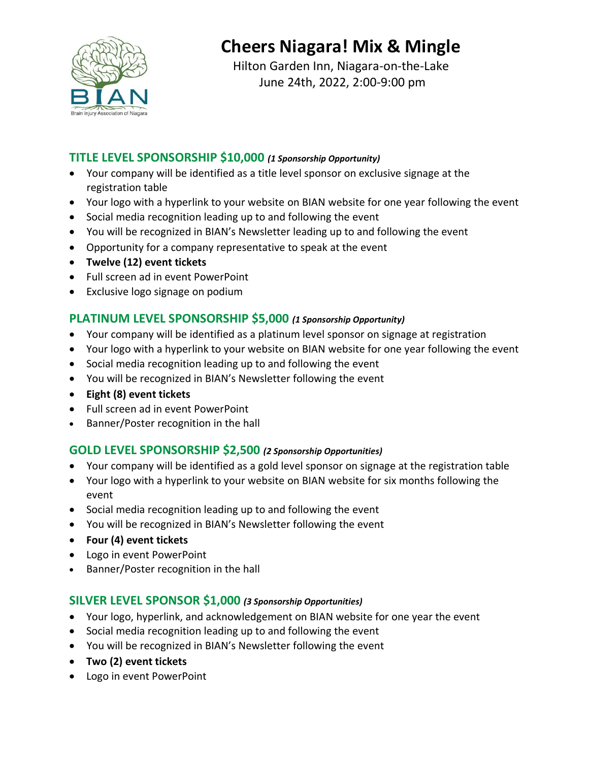

Hilton Garden Inn, Niagara-on-the-Lake June 24th, 2022, 2:00-9:00 pm

#### **TITLE LEVEL SPONSORSHIP \$10,000** *(1 Sponsorship Opportunity)*

- Your company will be identified as a title level sponsor on exclusive signage at the registration table
- Your logo with a hyperlink to your website on BIAN website for one year following the event
- Social media recognition leading up to and following the event
- You will be recognized in BIAN's Newsletter leading up to and following the event
- Opportunity for a company representative to speak at the event
- **Twelve (12) event tickets**
- Full screen ad in event PowerPoint
- Exclusive logo signage on podium

### **PLATINUM LEVEL SPONSORSHIP \$5,000** *(1 Sponsorship Opportunity)*

- Your company will be identified as a platinum level sponsor on signage at registration
- Your logo with a hyperlink to your website on BIAN website for one year following the event
- Social media recognition leading up to and following the event
- You will be recognized in BIAN's Newsletter following the event
- **Eight (8) event tickets**
- Full screen ad in event PowerPoint
- Banner/Poster recognition in the hall

### **GOLD LEVEL SPONSORSHIP \$2,500** *(2 Sponsorship Opportunities)*

- Your company will be identified as a gold level sponsor on signage at the registration table
- Your logo with a hyperlink to your website on BIAN website for six months following the event
- Social media recognition leading up to and following the event
- You will be recognized in BIAN's Newsletter following the event
- **Four (4) event tickets**
- Logo in event PowerPoint
- Banner/Poster recognition in the hall

### **SILVER LEVEL SPONSOR \$1,000** *(3 Sponsorship Opportunities)*

- Your logo, hyperlink, and acknowledgement on BIAN website for one year the event
- Social media recognition leading up to and following the event
- You will be recognized in BIAN's Newsletter following the event
- **Two (2) event tickets**
- Logo in event PowerPoint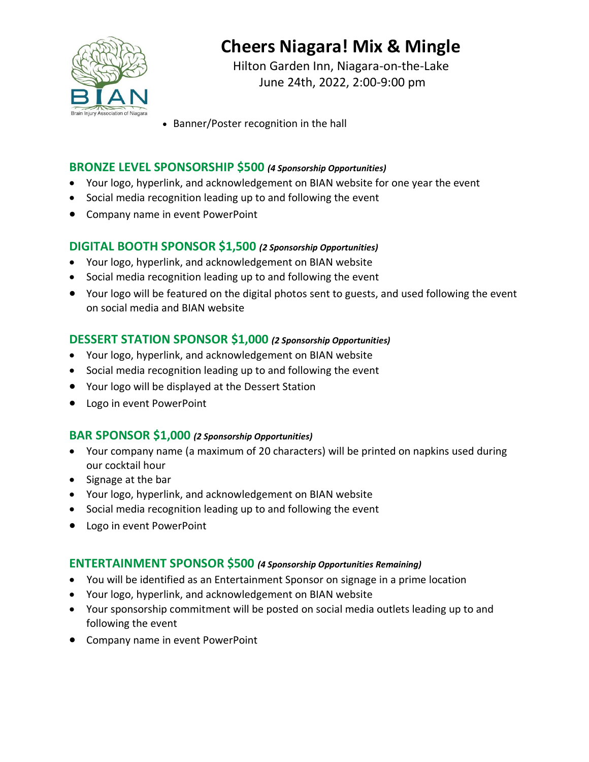

Hilton Garden Inn, Niagara-on-the-Lake June 24th, 2022, 2:00-9:00 pm

• Banner/Poster recognition in the hall

## **BRONZE LEVEL SPONSORSHIP \$500** *(4 Sponsorship Opportunities)*

- Your logo, hyperlink, and acknowledgement on BIAN website for one year the event
- Social media recognition leading up to and following the event
- Company name in event PowerPoint

#### **DIGITAL BOOTH SPONSOR \$1,500** *(2 Sponsorship Opportunities)*

- Your logo, hyperlink, and acknowledgement on BIAN website
- Social media recognition leading up to and following the event
- Your logo will be featured on the digital photos sent to guests, and used following the event on social media and BIAN website

#### **DESSERT STATION SPONSOR \$1,000** *(2 Sponsorship Opportunities)*

- Your logo, hyperlink, and acknowledgement on BIAN website
- Social media recognition leading up to and following the event
- Your logo will be displayed at the Dessert Station
- Logo in event PowerPoint

#### **BAR SPONSOR \$1,000** *(2 Sponsorship Opportunities)*

- Your company name (a maximum of 20 characters) will be printed on napkins used during our cocktail hour
- Signage at the bar
- Your logo, hyperlink, and acknowledgement on BIAN website
- Social media recognition leading up to and following the event
- Logo in event PowerPoint

#### **ENTERTAINMENT SPONSOR \$500** *(4 Sponsorship Opportunities Remaining)*

- You will be identified as an Entertainment Sponsor on signage in a prime location
- Your logo, hyperlink, and acknowledgement on BIAN website
- Your sponsorship commitment will be posted on social media outlets leading up to and following the event
- Company name in event PowerPoint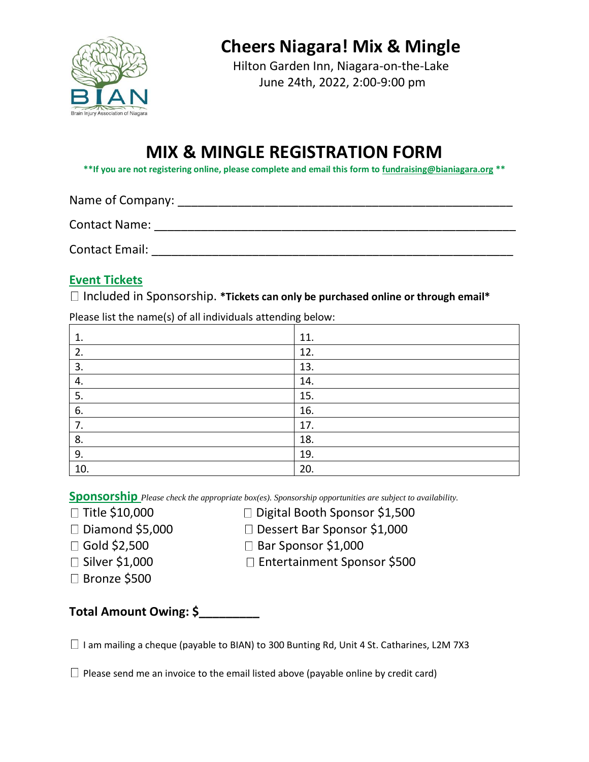

Hilton Garden Inn, Niagara-on-the-Lake June 24th, 2022, 2:00-9:00 pm

# **MIX & MINGLE REGISTRATION FORM**

**\*\*If you are not registering online, please complete and email this form t[o fundraising@bianiagara.org](mailto:fundraising@bianiagara.org) \*\***

Name of Company: \_\_\_\_\_\_\_\_\_\_\_\_\_\_\_\_\_\_\_\_\_\_\_\_\_\_\_\_\_\_\_\_\_\_\_\_\_\_\_\_\_\_\_\_\_\_\_\_\_\_ Contact Name: \_\_\_\_\_\_\_\_\_\_\_\_\_\_\_\_\_\_\_\_\_\_\_\_\_\_\_\_\_\_\_\_\_\_\_\_\_\_\_\_\_\_\_\_\_\_\_\_\_\_\_\_\_\_ Contact Email: **Exercise Email:**  $\blacksquare$ 

### **Event Tickets**

Included in Sponsorship. **\*Tickets can only be purchased online or through email\***

Please list the name(s) of all individuals attending below:

| 1.  | 11. |
|-----|-----|
| 2.  | 12. |
| 3.  | 13. |
| 4.  | 14. |
| 5.  | 15. |
| 6.  | 16. |
| 7.  | 17. |
| 8.  | 18. |
| 9.  | 19. |
| 10. | 20. |

**Sponsorship** *Please check the appropriate box(es). Sponsorship opportunities are subject to availability.*

- -
- $\Box$  Title \$10,000  $\Box$  Digital Booth Sponsor \$1,500
- Diamond \$5,000 Dessert Bar Sponsor \$1,000
- 
- 
- $\Box$  Gold \$2,500  $\Box$  Bar Sponsor \$1,000
- □ Silver \$1,000 Dentertainment Sponsor \$500
- □ Bronze \$500

**Total Amount Owing: \$\_\_\_\_\_\_\_\_\_**

 $\Box$  I am mailing a cheque (payable to BIAN) to 300 Bunting Rd, Unit 4 St. Catharines, L2M 7X3

 $\Box$  Please send me an invoice to the email listed above (payable online by credit card)